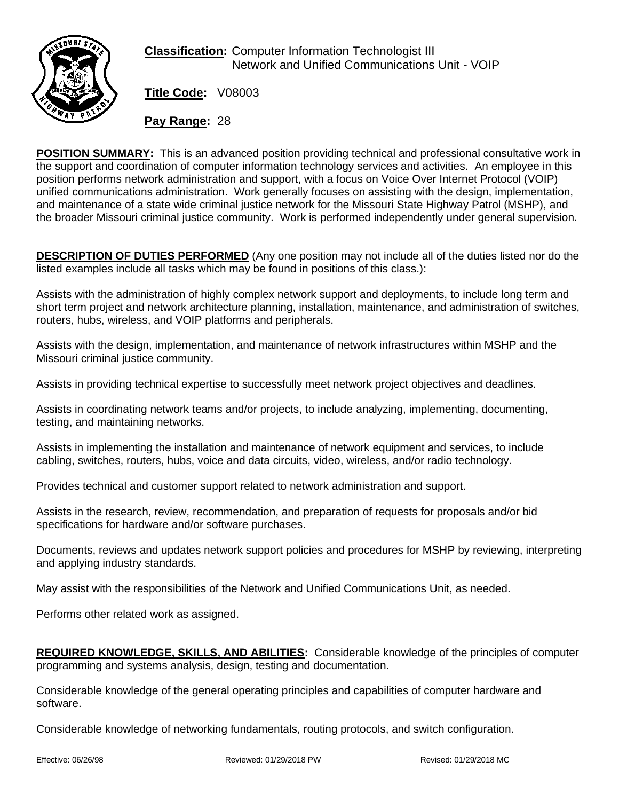

**Classification:** Computer Information Technologist III Network and Unified Communications Unit - VOIP

**Title Code:** V08003

**Pay Range:** 28

**POSITION SUMMARY:** This is an advanced position providing technical and professional consultative work in the support and coordination of computer information technology services and activities. An employee in this position performs network administration and support, with a focus on Voice Over Internet Protocol (VOIP) unified communications administration. Work generally focuses on assisting with the design, implementation, and maintenance of a state wide criminal justice network for the Missouri State Highway Patrol (MSHP), and the broader Missouri criminal justice community. Work is performed independently under general supervision.

**DESCRIPTION OF DUTIES PERFORMED** (Any one position may not include all of the duties listed nor do the listed examples include all tasks which may be found in positions of this class.):

Assists with the administration of highly complex network support and deployments, to include long term and short term project and network architecture planning, installation, maintenance, and administration of switches, routers, hubs, wireless, and VOIP platforms and peripherals.

Assists with the design, implementation, and maintenance of network infrastructures within MSHP and the Missouri criminal justice community.

Assists in providing technical expertise to successfully meet network project objectives and deadlines.

Assists in coordinating network teams and/or projects, to include analyzing, implementing, documenting, testing, and maintaining networks.

Assists in implementing the installation and maintenance of network equipment and services, to include cabling, switches, routers, hubs, voice and data circuits, video, wireless, and/or radio technology.

Provides technical and customer support related to network administration and support.

Assists in the research, review, recommendation, and preparation of requests for proposals and/or bid specifications for hardware and/or software purchases.

Documents, reviews and updates network support policies and procedures for MSHP by reviewing, interpreting and applying industry standards.

May assist with the responsibilities of the Network and Unified Communications Unit, as needed.

Performs other related work as assigned.

**REQUIRED KNOWLEDGE, SKILLS, AND ABILITIES:** Considerable knowledge of the principles of computer programming and systems analysis, design, testing and documentation.

Considerable knowledge of the general operating principles and capabilities of computer hardware and software.

Considerable knowledge of networking fundamentals, routing protocols, and switch configuration.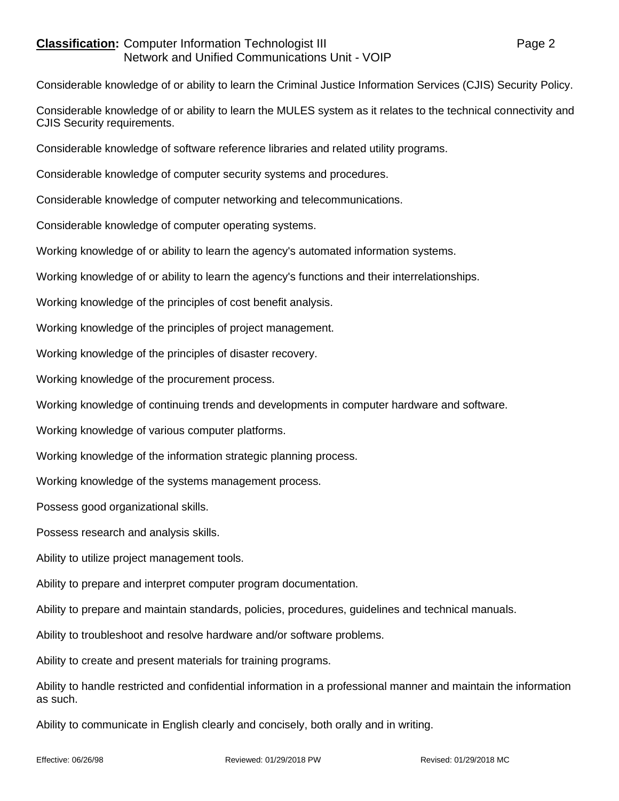## **Classification:** Computer Information Technologist III **Classification:** Page 2 Network and Unified Communications Unit - VOIP

Considerable knowledge of or ability to learn the Criminal Justice Information Services (CJIS) Security Policy.

Considerable knowledge of or ability to learn the MULES system as it relates to the technical connectivity and CJIS Security requirements.

Considerable knowledge of software reference libraries and related utility programs.

Considerable knowledge of computer security systems and procedures.

Considerable knowledge of computer networking and telecommunications.

Considerable knowledge of computer operating systems.

Working knowledge of or ability to learn the agency's automated information systems.

Working knowledge of or ability to learn the agency's functions and their interrelationships.

Working knowledge of the principles of cost benefit analysis.

Working knowledge of the principles of project management.

Working knowledge of the principles of disaster recovery.

Working knowledge of the procurement process.

Working knowledge of continuing trends and developments in computer hardware and software.

Working knowledge of various computer platforms.

Working knowledge of the information strategic planning process.

Working knowledge of the systems management process.

Possess good organizational skills.

Possess research and analysis skills.

Ability to utilize project management tools.

Ability to prepare and interpret computer program documentation.

Ability to prepare and maintain standards, policies, procedures, guidelines and technical manuals.

Ability to troubleshoot and resolve hardware and/or software problems.

Ability to create and present materials for training programs.

Ability to handle restricted and confidential information in a professional manner and maintain the information as such.

Ability to communicate in English clearly and concisely, both orally and in writing.